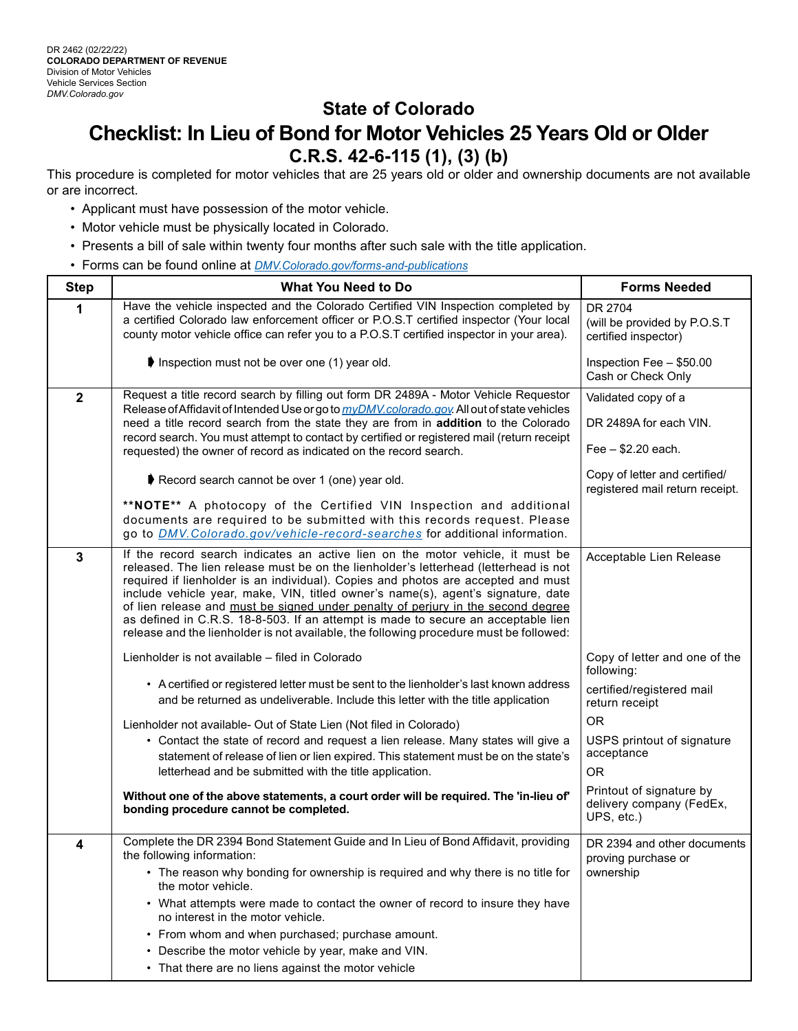## **State of Colorado Checklist: In Lieu of Bond for Motor Vehicles 25 Years Old or Older C.R.S. 42-6-115 (1), (3) (b)**

This procedure is completed for motor vehicles that are 25 years old or older and ownership documents are not available or are incorrect.

- Applicant must have possession of the motor vehicle.
- Motor vehicle must be physically located in Colorado.
- Presents a bill of sale within twenty four months after such sale with the title application.
- Forms can be found online at *DM[V.Colorado.gov/forms-and-publications](http://dmv.colorado.gov/forms-and-publications)*

| <b>Step</b>    | What You Need to Do                                                                                                                                                                                                                                                                                                                                                                                                                                                                                                                                                                                                | <b>Forms Needed</b>                                                 |
|----------------|--------------------------------------------------------------------------------------------------------------------------------------------------------------------------------------------------------------------------------------------------------------------------------------------------------------------------------------------------------------------------------------------------------------------------------------------------------------------------------------------------------------------------------------------------------------------------------------------------------------------|---------------------------------------------------------------------|
| 1              | Have the vehicle inspected and the Colorado Certified VIN Inspection completed by<br>a certified Colorado law enforcement officer or P.O.S.T certified inspector (Your local<br>county motor vehicle office can refer you to a P.O.S.T certified inspector in your area).                                                                                                                                                                                                                                                                                                                                          | DR 2704<br>(will be provided by P.O.S.T<br>certified inspector)     |
|                | Inspection must not be over one (1) year old.                                                                                                                                                                                                                                                                                                                                                                                                                                                                                                                                                                      | Inspection Fee - \$50.00<br>Cash or Check Only                      |
| $\overline{2}$ | Request a title record search by filling out form DR 2489A - Motor Vehicle Requestor<br>Release of Affidavit of Intended Use or go to <i>myDMV.colorado.gov.</i> All out of state vehicles<br>need a title record search from the state they are from in addition to the Colorado<br>record search. You must attempt to contact by certified or registered mail (return receipt<br>requested) the owner of record as indicated on the record search.                                                                                                                                                               | Validated copy of a<br>DR 2489A for each VIN.<br>Fee - \$2.20 each. |
|                | Record search cannot be over 1 (one) year old.                                                                                                                                                                                                                                                                                                                                                                                                                                                                                                                                                                     | Copy of letter and certified/<br>registered mail return receipt.    |
|                | **NOTE** A photocopy of the Certified VIN Inspection and additional<br>documents are required to be submitted with this records request. Please<br>go to <i>DMV. Colorado. gov/vehicle-record-searches</i> for additional information.                                                                                                                                                                                                                                                                                                                                                                             |                                                                     |
| 3              | If the record search indicates an active lien on the motor vehicle, it must be<br>released. The lien release must be on the lienholder's letterhead (letterhead is not<br>required if lienholder is an individual). Copies and photos are accepted and must<br>include vehicle year, make, VIN, titled owner's name(s), agent's signature, date<br>of lien release and must be signed under penalty of perjury in the second degree<br>as defined in C.R.S. 18-8-503. If an attempt is made to secure an acceptable lien<br>release and the lienholder is not available, the following procedure must be followed: | Acceptable Lien Release                                             |
|                | Lienholder is not available - filed in Colorado                                                                                                                                                                                                                                                                                                                                                                                                                                                                                                                                                                    | Copy of letter and one of the<br>following:                         |
|                | • A certified or registered letter must be sent to the lienholder's last known address<br>and be returned as undeliverable. Include this letter with the title application                                                                                                                                                                                                                                                                                                                                                                                                                                         | certified/registered mail<br>return receipt                         |
|                | Lienholder not available- Out of State Lien (Not filed in Colorado)<br>• Contact the state of record and request a lien release. Many states will give a<br>statement of release of lien or lien expired. This statement must be on the state's<br>letterhead and be submitted with the title application.                                                                                                                                                                                                                                                                                                         | <b>OR</b><br>USPS printout of signature<br>acceptance<br><b>OR</b>  |
|                | Without one of the above statements, a court order will be required. The 'in-lieu of'<br>bonding procedure cannot be completed.                                                                                                                                                                                                                                                                                                                                                                                                                                                                                    | Printout of signature by<br>delivery company (FedEx,<br>UPS, etc.)  |
| 4              | Complete the DR 2394 Bond Statement Guide and In Lieu of Bond Affidavit, providing<br>the following information:<br>• The reason why bonding for ownership is required and why there is no title for<br>the motor vehicle.<br>• What attempts were made to contact the owner of record to insure they have<br>no interest in the motor vehicle.<br>• From whom and when purchased; purchase amount.<br>• Describe the motor vehicle by year, make and VIN.<br>• That there are no liens against the motor vehicle                                                                                                  | DR 2394 and other documents<br>proving purchase or<br>ownership     |